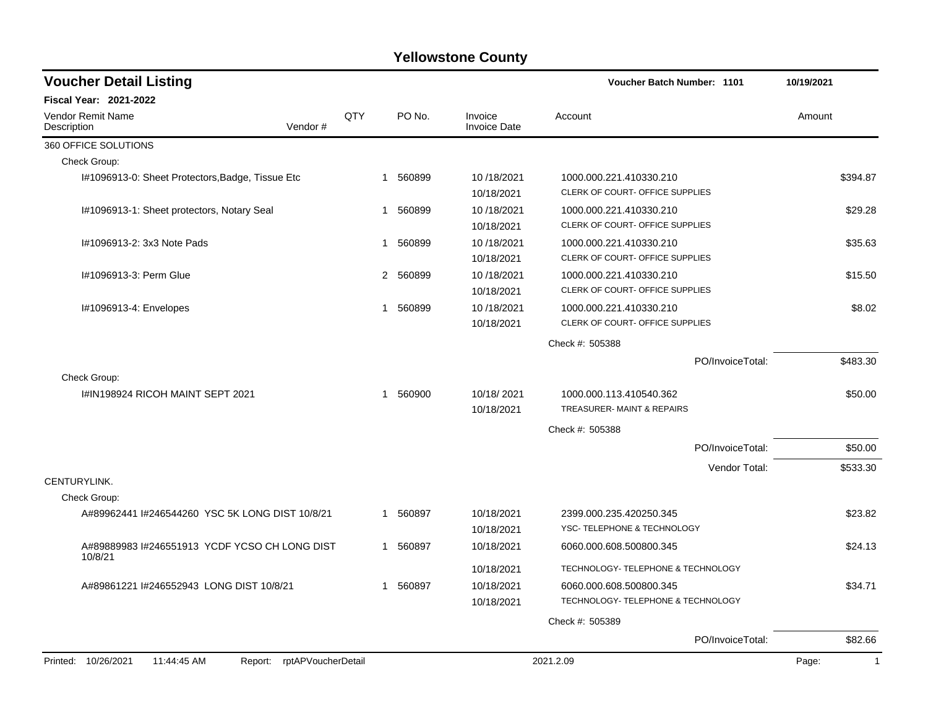| <b>Voucher Detail Listing</b>                                    |     |          |                                | Voucher Batch Number: 1101                                 | 10/19/2021            |
|------------------------------------------------------------------|-----|----------|--------------------------------|------------------------------------------------------------|-----------------------|
| <b>Fiscal Year: 2021-2022</b>                                    |     |          |                                |                                                            |                       |
| <b>Vendor Remit Name</b><br>Vendor#<br>Description               | QTY | PO No.   | Invoice<br><b>Invoice Date</b> | Account                                                    | Amount                |
| 360 OFFICE SOLUTIONS                                             |     |          |                                |                                                            |                       |
| Check Group:                                                     |     |          |                                |                                                            |                       |
| I#1096913-0: Sheet Protectors, Badge, Tissue Etc                 |     | 1 560899 | 10/18/2021<br>10/18/2021       | 1000.000.221.410330.210<br>CLERK OF COURT- OFFICE SUPPLIES | \$394.87              |
| I#1096913-1: Sheet protectors, Notary Seal                       | 1   | 560899   | 10/18/2021<br>10/18/2021       | 1000.000.221.410330.210<br>CLERK OF COURT- OFFICE SUPPLIES | \$29.28               |
| I#1096913-2: 3x3 Note Pads                                       | 1   | 560899   | 10/18/2021<br>10/18/2021       | 1000.000.221.410330.210<br>CLERK OF COURT- OFFICE SUPPLIES | \$35.63               |
| I#1096913-3: Perm Glue                                           |     | 2 560899 | 10/18/2021<br>10/18/2021       | 1000.000.221.410330.210<br>CLERK OF COURT- OFFICE SUPPLIES | \$15.50               |
| #1096913-4: Envelopes                                            | 1   | 560899   | 10/18/2021<br>10/18/2021       | 1000.000.221.410330.210<br>CLERK OF COURT- OFFICE SUPPLIES | \$8.02                |
|                                                                  |     |          |                                | Check #: 505388                                            |                       |
|                                                                  |     |          |                                | PO/InvoiceTotal:                                           | \$483.30              |
| Check Group:                                                     |     |          |                                |                                                            |                       |
| I#IN198924 RICOH MAINT SEPT 2021                                 | 1   | 560900   | 10/18/2021<br>10/18/2021       | 1000.000.113.410540.362<br>TREASURER-MAINT & REPAIRS       | \$50.00               |
|                                                                  |     |          |                                | Check #: 505388                                            |                       |
|                                                                  |     |          |                                | PO/InvoiceTotal:                                           | \$50.00               |
|                                                                  |     |          |                                | Vendor Total:                                              | \$533.30              |
| CENTURYLINK.                                                     |     |          |                                |                                                            |                       |
| Check Group:                                                     |     |          |                                |                                                            |                       |
| A#89962441 I#246544260 YSC 5K LONG DIST 10/8/21                  | 1   | 560897   | 10/18/2021                     | 2399.000.235.420250.345                                    | \$23.82               |
|                                                                  |     |          | 10/18/2021                     | YSC- TELEPHONE & TECHNOLOGY                                |                       |
| A#89889983 I#246551913 YCDF YCSO CH LONG DIST<br>10/8/21         |     | 1 560897 | 10/18/2021                     | 6060.000.608.500800.345                                    | \$24.13               |
|                                                                  |     |          | 10/18/2021                     | TECHNOLOGY- TELEPHONE & TECHNOLOGY                         |                       |
| A#89861221 I#246552943 LONG DIST 10/8/21                         | 1   | 560897   | 10/18/2021                     | 6060.000.608.500800.345                                    | \$34.71               |
|                                                                  |     |          | 10/18/2021                     | TECHNOLOGY- TELEPHONE & TECHNOLOGY                         |                       |
|                                                                  |     |          |                                | Check #: 505389                                            |                       |
|                                                                  |     |          |                                | PO/InvoiceTotal:                                           | \$82.66               |
| Printed: 10/26/2021<br>Report: rptAPVoucherDetail<br>11:44:45 AM |     |          |                                | 2021.2.09                                                  | Page:<br>$\mathbf{1}$ |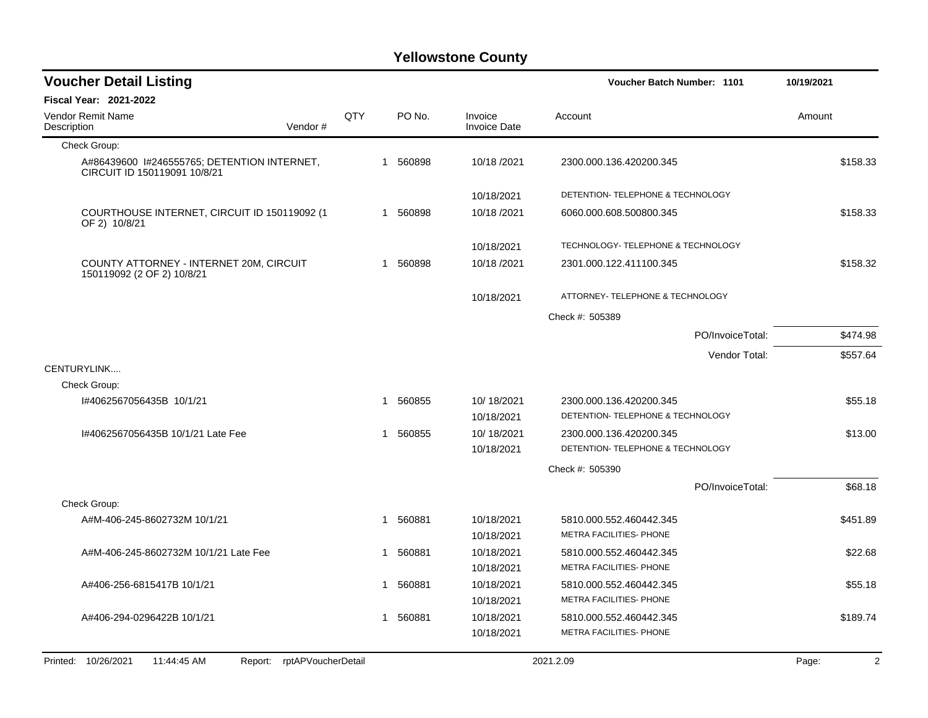| <b>Voucher Detail Listing</b>                                               |                               |     |   |          |                                | <b>Voucher Batch Number: 1101</b>                  |                  | 10/19/2021 |          |
|-----------------------------------------------------------------------------|-------------------------------|-----|---|----------|--------------------------------|----------------------------------------------------|------------------|------------|----------|
| Fiscal Year: 2021-2022                                                      |                               |     |   |          |                                |                                                    |                  |            |          |
| Vendor Remit Name<br>Description                                            | Vendor#                       | QTY |   | PO No.   | Invoice<br><b>Invoice Date</b> | Account                                            |                  | Amount     |          |
| Check Group:                                                                |                               |     |   |          |                                |                                                    |                  |            |          |
| A#86439600 1#246555765; DETENTION INTERNET,<br>CIRCUIT ID 150119091 10/8/21 |                               |     |   | 1 560898 | 10/18/2021                     | 2300.000.136.420200.345                            |                  |            | \$158.33 |
|                                                                             |                               |     |   |          | 10/18/2021                     | DETENTION- TELEPHONE & TECHNOLOGY                  |                  |            |          |
| COURTHOUSE INTERNET, CIRCUIT ID 150119092 (1<br>OF 2) 10/8/21               |                               |     |   | 1 560898 | 10/18/2021                     | 6060.000.608.500800.345                            |                  |            | \$158.33 |
|                                                                             |                               |     |   |          | 10/18/2021                     | TECHNOLOGY- TELEPHONE & TECHNOLOGY                 |                  |            |          |
| COUNTY ATTORNEY - INTERNET 20M, CIRCUIT<br>150119092 (2 OF 2) 10/8/21       |                               |     | 1 | 560898   | 10/18/2021                     | 2301.000.122.411100.345                            |                  |            | \$158.32 |
|                                                                             |                               |     |   |          | 10/18/2021                     | ATTORNEY- TELEPHONE & TECHNOLOGY                   |                  |            |          |
|                                                                             |                               |     |   |          |                                | Check #: 505389                                    |                  |            |          |
|                                                                             |                               |     |   |          |                                |                                                    | PO/InvoiceTotal: |            | \$474.98 |
|                                                                             |                               |     |   |          |                                |                                                    | Vendor Total:    |            | \$557.64 |
| CENTURYLINK                                                                 |                               |     |   |          |                                |                                                    |                  |            |          |
| Check Group:                                                                |                               |     |   |          |                                |                                                    |                  |            |          |
| I#4062567056435B 10/1/21                                                    |                               |     | 1 | 560855   | 10/18/2021                     | 2300.000.136.420200.345                            |                  |            | \$55.18  |
|                                                                             |                               |     |   |          | 10/18/2021                     | DETENTION- TELEPHONE & TECHNOLOGY                  |                  |            |          |
| 1#4062567056435B 10/1/21 Late Fee                                           |                               |     | 1 | 560855   | 10/18/2021                     | 2300.000.136.420200.345                            |                  |            | \$13.00  |
|                                                                             |                               |     |   |          | 10/18/2021                     | DETENTION- TELEPHONE & TECHNOLOGY                  |                  |            |          |
|                                                                             |                               |     |   |          |                                | Check #: 505390                                    |                  |            |          |
|                                                                             |                               |     |   |          |                                |                                                    | PO/InvoiceTotal: |            | \$68.18  |
| Check Group:                                                                |                               |     |   |          |                                |                                                    |                  |            |          |
| A#M-406-245-8602732M 10/1/21                                                |                               |     |   | 1 560881 | 10/18/2021                     | 5810.000.552.460442.345                            |                  |            | \$451.89 |
|                                                                             |                               |     |   |          | 10/18/2021                     | METRA FACILITIES- PHONE                            |                  |            |          |
| A#M-406-245-8602732M 10/1/21 Late Fee                                       |                               |     |   | 1 560881 | 10/18/2021                     | 5810.000.552.460442.345                            |                  |            | \$22.68  |
|                                                                             |                               |     |   |          | 10/18/2021                     | METRA FACILITIES- PHONE                            |                  |            |          |
| A#406-256-6815417B 10/1/21                                                  |                               |     | 1 | 560881   | 10/18/2021                     | 5810.000.552.460442.345<br>METRA FACILITIES- PHONE |                  |            | \$55.18  |
|                                                                             |                               |     |   |          | 10/18/2021                     |                                                    |                  |            |          |
| A#406-294-0296422B 10/1/21                                                  |                               |     | 1 | 560881   | 10/18/2021<br>10/18/2021       | 5810.000.552.460442.345<br>METRA FACILITIES- PHONE |                  |            | \$189.74 |
|                                                                             |                               |     |   |          |                                |                                                    |                  |            |          |
| Printed: 10/26/2021<br>11:44:45 AM                                          | rptAPVoucherDetail<br>Report: |     |   |          |                                | 2021.2.09                                          |                  | Page:      | 2        |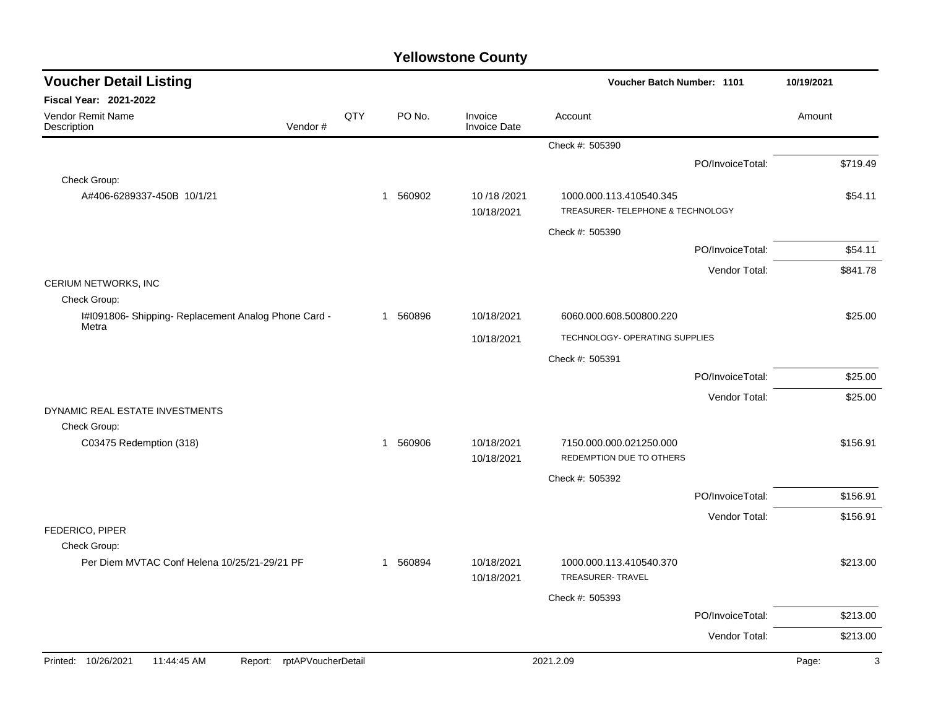| <b>Voucher Detail Listing</b>                                        |     |          |                                | Voucher Batch Number: 1101                                   |                  | 10/19/2021 |
|----------------------------------------------------------------------|-----|----------|--------------------------------|--------------------------------------------------------------|------------------|------------|
| <b>Fiscal Year: 2021-2022</b>                                        |     |          |                                |                                                              |                  |            |
| Vendor Remit Name<br>Vendor#<br>Description                          | QTY | PO No.   | Invoice<br><b>Invoice Date</b> | Account                                                      |                  | Amount     |
|                                                                      |     |          |                                | Check #: 505390                                              |                  |            |
|                                                                      |     |          |                                |                                                              | PO/InvoiceTotal: | \$719.49   |
| Check Group:                                                         |     |          |                                |                                                              |                  |            |
| A#406-6289337-450B 10/1/21                                           |     | 1 560902 | 10/18/2021<br>10/18/2021       | 1000.000.113.410540.345<br>TREASURER- TELEPHONE & TECHNOLOGY |                  | \$54.11    |
|                                                                      |     |          |                                | Check #: 505390                                              |                  |            |
|                                                                      |     |          |                                |                                                              | PO/InvoiceTotal: | \$54.11    |
|                                                                      |     |          |                                |                                                              | Vendor Total:    | \$841.78   |
| CERIUM NETWORKS, INC                                                 |     |          |                                |                                                              |                  |            |
| Check Group:<br>I#1091806- Shipping- Replacement Analog Phone Card - |     | 1 560896 | 10/18/2021                     | 6060.000.608.500800.220                                      |                  | \$25.00    |
| Metra                                                                |     |          |                                |                                                              |                  |            |
|                                                                      |     |          | 10/18/2021                     | TECHNOLOGY- OPERATING SUPPLIES                               |                  |            |
|                                                                      |     |          |                                | Check #: 505391                                              |                  |            |
|                                                                      |     |          |                                |                                                              | PO/InvoiceTotal: | \$25.00    |
| DYNAMIC REAL ESTATE INVESTMENTS                                      |     |          |                                |                                                              | Vendor Total:    | \$25.00    |
| Check Group:                                                         |     |          |                                |                                                              |                  |            |
| C03475 Redemption (318)                                              |     | 1 560906 | 10/18/2021<br>10/18/2021       | 7150.000.000.021250.000<br>REDEMPTION DUE TO OTHERS          |                  | \$156.91   |
|                                                                      |     |          |                                | Check #: 505392                                              |                  |            |
|                                                                      |     |          |                                |                                                              | PO/InvoiceTotal: | \$156.91   |
|                                                                      |     |          |                                |                                                              | Vendor Total:    | \$156.91   |
| FEDERICO, PIPER                                                      |     |          |                                |                                                              |                  |            |
| Check Group:<br>Per Diem MVTAC Conf Helena 10/25/21-29/21 PF         |     | 1 560894 | 10/18/2021                     | 1000.000.113.410540.370                                      |                  | \$213.00   |
|                                                                      |     |          | 10/18/2021                     | TREASURER- TRAVEL                                            |                  |            |
|                                                                      |     |          |                                | Check #: 505393                                              |                  |            |
|                                                                      |     |          |                                |                                                              | PO/InvoiceTotal: | \$213.00   |
|                                                                      |     |          |                                |                                                              | Vendor Total:    | \$213.00   |
| Printed: 10/26/2021<br>11:44:45 AM<br>rptAPVoucherDetail<br>Report:  |     |          |                                | 2021.2.09                                                    |                  | 3<br>Page: |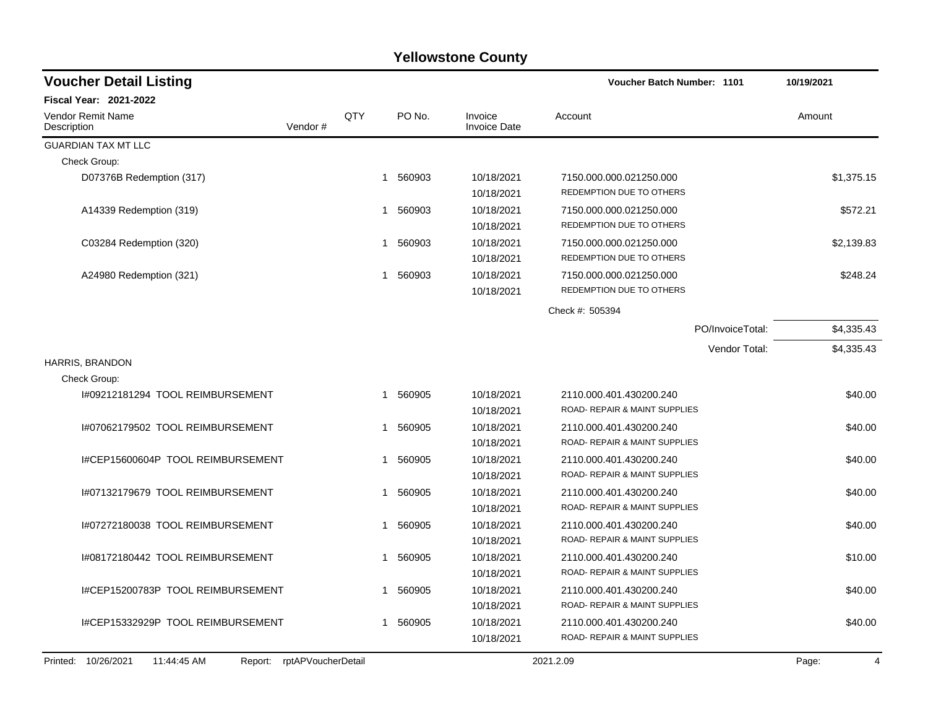| <b>Voucher Detail Listing</b>                 |                    |    |          |                                | Voucher Batch Number: 1101                               | 10/19/2021              |  |
|-----------------------------------------------|--------------------|----|----------|--------------------------------|----------------------------------------------------------|-------------------------|--|
| Fiscal Year: 2021-2022                        |                    |    |          |                                |                                                          |                         |  |
| Vendor Remit Name<br>Description              | QTY<br>Vendor#     |    | PO No.   | Invoice<br><b>Invoice Date</b> | Account                                                  | Amount                  |  |
| <b>GUARDIAN TAX MT LLC</b>                    |                    |    |          |                                |                                                          |                         |  |
| Check Group:                                  |                    |    |          |                                |                                                          |                         |  |
| D07376B Redemption (317)                      |                    |    | 1 560903 | 10/18/2021<br>10/18/2021       | 7150.000.000.021250.000<br>REDEMPTION DUE TO OTHERS      | \$1,375.15              |  |
| A14339 Redemption (319)                       |                    | 1  | 560903   | 10/18/2021<br>10/18/2021       | 7150.000.000.021250.000<br>REDEMPTION DUE TO OTHERS      | \$572.21                |  |
| C03284 Redemption (320)                       |                    | 1  | 560903   | 10/18/2021<br>10/18/2021       | 7150.000.000.021250.000<br>REDEMPTION DUE TO OTHERS      | \$2,139.83              |  |
| A24980 Redemption (321)                       |                    | 1  | 560903   | 10/18/2021<br>10/18/2021       | 7150.000.000.021250.000<br>REDEMPTION DUE TO OTHERS      | \$248.24                |  |
|                                               |                    |    |          |                                | Check #: 505394                                          |                         |  |
|                                               |                    |    |          |                                | PO/InvoiceTotal:                                         | \$4,335.43              |  |
|                                               |                    |    |          |                                | Vendor Total:                                            | \$4,335.43              |  |
| <b>HARRIS, BRANDON</b>                        |                    |    |          |                                |                                                          |                         |  |
| Check Group:                                  |                    |    |          |                                |                                                          |                         |  |
| 1#09212181294 TOOL REIMBURSEMENT              |                    | 1  | 560905   | 10/18/2021                     | 2110.000.401.430200.240                                  | \$40.00                 |  |
|                                               |                    |    |          | 10/18/2021                     | ROAD- REPAIR & MAINT SUPPLIES                            |                         |  |
| I#07062179502 TOOL REIMBURSEMENT              |                    | 1  | 560905   | 10/18/2021                     | 2110.000.401.430200.240                                  | \$40.00                 |  |
|                                               |                    |    |          | 10/18/2021                     | ROAD- REPAIR & MAINT SUPPLIES                            |                         |  |
| I#CEP15600604P TOOL REIMBURSEMENT             |                    | 1  | 560905   | 10/18/2021<br>10/18/2021       | 2110.000.401.430200.240<br>ROAD- REPAIR & MAINT SUPPLIES | \$40.00                 |  |
| I#07132179679 TOOL REIMBURSEMENT              |                    | 1  | 560905   | 10/18/2021                     | 2110.000.401.430200.240                                  | \$40.00                 |  |
|                                               |                    |    |          | 10/18/2021                     | ROAD- REPAIR & MAINT SUPPLIES                            |                         |  |
| 1#07272180038 TOOL REIMBURSEMENT              |                    | 1  | 560905   | 10/18/2021                     | 2110.000.401.430200.240                                  | \$40.00                 |  |
|                                               |                    |    |          | 10/18/2021                     | ROAD- REPAIR & MAINT SUPPLIES                            |                         |  |
| 1#08172180442 TOOL REIMBURSEMENT              |                    | 1  | 560905   | 10/18/2021                     | 2110.000.401.430200.240                                  | \$10.00                 |  |
|                                               |                    |    |          | 10/18/2021                     | ROAD- REPAIR & MAINT SUPPLIES                            |                         |  |
| I#CEP15200783P TOOL REIMBURSEMENT             |                    | 1  | 560905   | 10/18/2021                     | 2110.000.401.430200.240                                  | \$40.00                 |  |
|                                               |                    |    |          | 10/18/2021                     | ROAD- REPAIR & MAINT SUPPLIES                            |                         |  |
| I#CEP15332929P TOOL REIMBURSEMENT             |                    | 1. | 560905   | 10/18/2021<br>10/18/2021       | 2110.000.401.430200.240<br>ROAD- REPAIR & MAINT SUPPLIES | \$40.00                 |  |
| Printed: 10/26/2021<br>11:44:45 AM<br>Report: | rptAPVoucherDetail |    |          |                                | 2021.2.09                                                | Page:<br>$\overline{4}$ |  |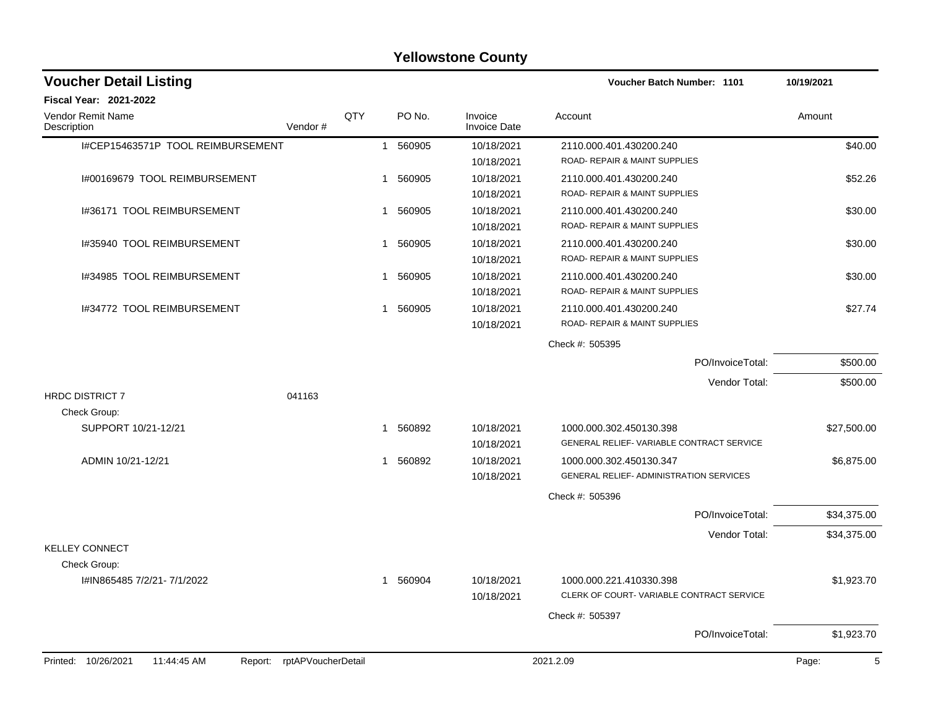| <b>Yellowstone County</b>                     |                    |              |              |                                |                                                |             |  |  |  |
|-----------------------------------------------|--------------------|--------------|--------------|--------------------------------|------------------------------------------------|-------------|--|--|--|
| <b>Voucher Detail Listing</b>                 |                    |              |              |                                | <b>Voucher Batch Number: 1101</b>              | 10/19/2021  |  |  |  |
| Fiscal Year: 2021-2022                        |                    |              |              |                                |                                                |             |  |  |  |
| Vendor Remit Name<br>Description              | Vendor#            | QTY          | PO No.       | Invoice<br><b>Invoice Date</b> | Account                                        | Amount      |  |  |  |
| I#CEP15463571P TOOL REIMBURSEMENT             |                    | $\mathbf{1}$ | 560905       | 10/18/2021                     | 2110.000.401.430200.240                        | \$40.00     |  |  |  |
|                                               |                    |              |              | 10/18/2021                     | ROAD- REPAIR & MAINT SUPPLIES                  |             |  |  |  |
| 1#00169679 TOOL REIMBURSEMENT                 |                    |              | 560905<br>1  | 10/18/2021                     | 2110.000.401.430200.240                        | \$52.26     |  |  |  |
|                                               |                    |              |              | 10/18/2021                     | ROAD- REPAIR & MAINT SUPPLIES                  |             |  |  |  |
| 1#36171 TOOL REIMBURSEMENT                    |                    | 1.           | 560905       | 10/18/2021                     | 2110.000.401.430200.240                        | \$30.00     |  |  |  |
|                                               |                    |              |              | 10/18/2021                     | ROAD- REPAIR & MAINT SUPPLIES                  |             |  |  |  |
| 1#35940 TOOL REIMBURSEMENT                    |                    | $\mathbf 1$  | 560905       | 10/18/2021                     | 2110.000.401.430200.240                        | \$30.00     |  |  |  |
|                                               |                    |              |              | 10/18/2021                     | ROAD- REPAIR & MAINT SUPPLIES                  |             |  |  |  |
| 1#34985 TOOL REIMBURSEMENT                    |                    |              | 560905<br>1. | 10/18/2021                     | 2110.000.401.430200.240                        | \$30.00     |  |  |  |
|                                               |                    |              |              | 10/18/2021                     | ROAD- REPAIR & MAINT SUPPLIES                  |             |  |  |  |
| 1#34772 TOOL REIMBURSEMENT                    |                    | $\mathbf{1}$ | 560905       | 10/18/2021                     | 2110.000.401.430200.240                        | \$27.74     |  |  |  |
|                                               |                    |              |              | 10/18/2021                     | ROAD- REPAIR & MAINT SUPPLIES                  |             |  |  |  |
|                                               |                    |              |              |                                | Check #: 505395                                |             |  |  |  |
|                                               |                    |              |              |                                | PO/InvoiceTotal:                               | \$500.00    |  |  |  |
|                                               |                    |              |              |                                | Vendor Total:                                  | \$500.00    |  |  |  |
| <b>HRDC DISTRICT 7</b><br>Check Group:        | 041163             |              |              |                                |                                                |             |  |  |  |
| SUPPORT 10/21-12/21                           |                    | 1            | 560892       | 10/18/2021                     | 1000.000.302.450130.398                        | \$27,500.00 |  |  |  |
|                                               |                    |              |              | 10/18/2021                     | GENERAL RELIEF-VARIABLE CONTRACT SERVICE       |             |  |  |  |
| ADMIN 10/21-12/21                             |                    |              | 560892<br>1. | 10/18/2021                     | 1000.000.302.450130.347                        | \$6,875.00  |  |  |  |
|                                               |                    |              |              | 10/18/2021                     | <b>GENERAL RELIEF- ADMINISTRATION SERVICES</b> |             |  |  |  |
|                                               |                    |              |              |                                | Check #: 505396                                |             |  |  |  |
|                                               |                    |              |              |                                | PO/InvoiceTotal:                               | \$34,375.00 |  |  |  |
|                                               |                    |              |              |                                | Vendor Total:                                  | \$34,375.00 |  |  |  |
| <b>KELLEY CONNECT</b>                         |                    |              |              |                                |                                                |             |  |  |  |
| Check Group:                                  |                    |              |              |                                |                                                |             |  |  |  |
| I#IN865485 7/2/21- 7/1/2022                   |                    |              | 1 560904     | 10/18/2021                     | 1000.000.221.410330.398                        | \$1,923.70  |  |  |  |
|                                               |                    |              |              | 10/18/2021                     | CLERK OF COURT-VARIABLE CONTRACT SERVICE       |             |  |  |  |
|                                               |                    |              |              |                                | Check #: 505397                                |             |  |  |  |
|                                               |                    |              |              |                                | PO/InvoiceTotal:                               | \$1,923.70  |  |  |  |
| Printed: 10/26/2021<br>11:44:45 AM<br>Report: | rptAPVoucherDetail |              |              |                                | 2021.2.09                                      | Page:<br>5  |  |  |  |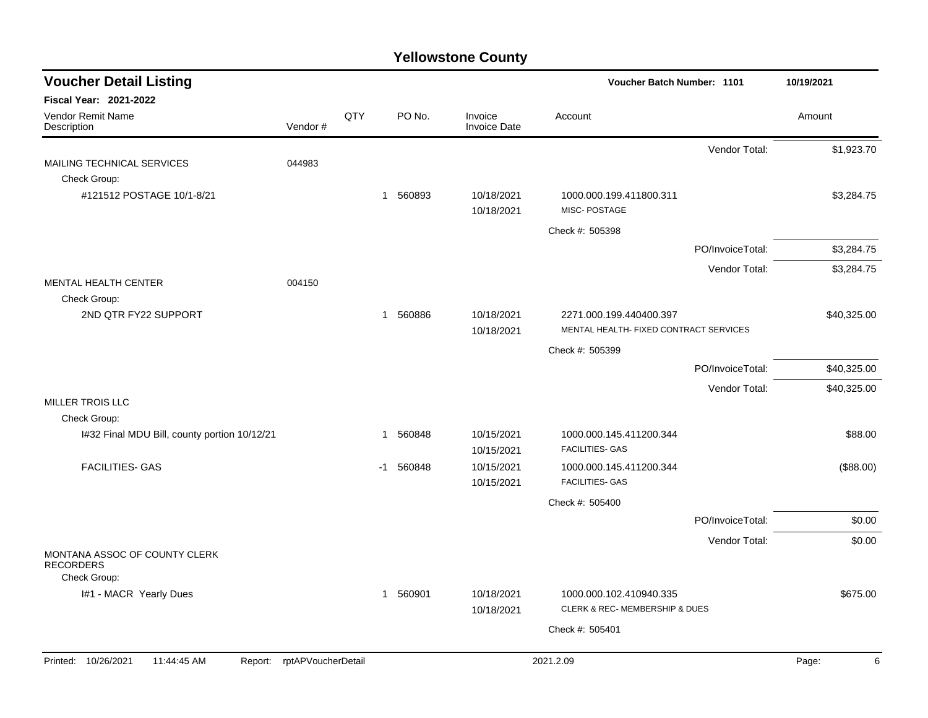| <b>Voucher Detail Listing</b>                     |                            |     | <b>Voucher Batch Number: 1101</b> | 10/19/2021                     |                                                                   |                  |             |
|---------------------------------------------------|----------------------------|-----|-----------------------------------|--------------------------------|-------------------------------------------------------------------|------------------|-------------|
| <b>Fiscal Year: 2021-2022</b>                     |                            |     |                                   |                                |                                                                   |                  |             |
| Vendor Remit Name<br>Description                  | Vendor#                    | QTY | PO No.                            | Invoice<br><b>Invoice Date</b> | Account                                                           |                  | Amount      |
|                                                   |                            |     |                                   |                                |                                                                   | Vendor Total:    | \$1,923.70  |
| MAILING TECHNICAL SERVICES                        | 044983                     |     |                                   |                                |                                                                   |                  |             |
| Check Group:                                      |                            |     |                                   |                                |                                                                   |                  | \$3,284.75  |
| #121512 POSTAGE 10/1-8/21                         |                            |     | 1 560893                          | 10/18/2021<br>10/18/2021       | 1000.000.199.411800.311<br>MISC-POSTAGE                           |                  |             |
|                                                   |                            |     |                                   |                                | Check #: 505398                                                   |                  |             |
|                                                   |                            |     |                                   |                                |                                                                   | PO/InvoiceTotal: | \$3,284.75  |
|                                                   |                            |     |                                   |                                |                                                                   | Vendor Total:    | \$3,284.75  |
| <b>MENTAL HEALTH CENTER</b>                       | 004150                     |     |                                   |                                |                                                                   |                  |             |
| Check Group:                                      |                            |     |                                   |                                |                                                                   |                  |             |
| 2ND QTR FY22 SUPPORT                              |                            |     | 560886<br>$\mathbf{1}$            | 10/18/2021<br>10/18/2021       | 2271.000.199.440400.397<br>MENTAL HEALTH- FIXED CONTRACT SERVICES |                  | \$40,325.00 |
|                                                   |                            |     |                                   |                                | Check #: 505399                                                   |                  |             |
|                                                   |                            |     |                                   |                                |                                                                   | PO/InvoiceTotal: | \$40,325.00 |
|                                                   |                            |     |                                   |                                |                                                                   | Vendor Total:    |             |
| <b>MILLER TROIS LLC</b>                           |                            |     |                                   |                                |                                                                   |                  | \$40,325.00 |
| Check Group:                                      |                            |     |                                   |                                |                                                                   |                  |             |
| I#32 Final MDU Bill, county portion 10/12/21      |                            |     | 560848<br>1                       | 10/15/2021                     | 1000.000.145.411200.344                                           |                  | \$88.00     |
|                                                   |                            |     |                                   | 10/15/2021                     | <b>FACILITIES- GAS</b>                                            |                  |             |
| <b>FACILITIES- GAS</b>                            |                            |     | 560848<br>-1                      | 10/15/2021<br>10/15/2021       | 1000.000.145.411200.344<br><b>FACILITIES- GAS</b>                 |                  | (\$88.00)   |
|                                                   |                            |     |                                   |                                | Check #: 505400                                                   |                  |             |
|                                                   |                            |     |                                   |                                |                                                                   | PO/InvoiceTotal: | \$0.00      |
|                                                   |                            |     |                                   |                                |                                                                   | Vendor Total:    | \$0.00      |
| MONTANA ASSOC OF COUNTY CLERK<br><b>RECORDERS</b> |                            |     |                                   |                                |                                                                   |                  |             |
| Check Group:                                      |                            |     |                                   |                                |                                                                   |                  |             |
| I#1 - MACR Yearly Dues                            |                            |     | 1 560901                          | 10/18/2021                     | 1000.000.102.410940.335<br>CLERK & REC- MEMBERSHIP & DUES         |                  | \$675.00    |
|                                                   |                            |     |                                   | 10/18/2021                     |                                                                   |                  |             |
|                                                   |                            |     |                                   |                                | Check #: 505401                                                   |                  |             |
| Printed: 10/26/2021<br>11:44:45 AM                | Report: rptAPVoucherDetail |     |                                   |                                | 2021.2.09                                                         |                  | 6<br>Page:  |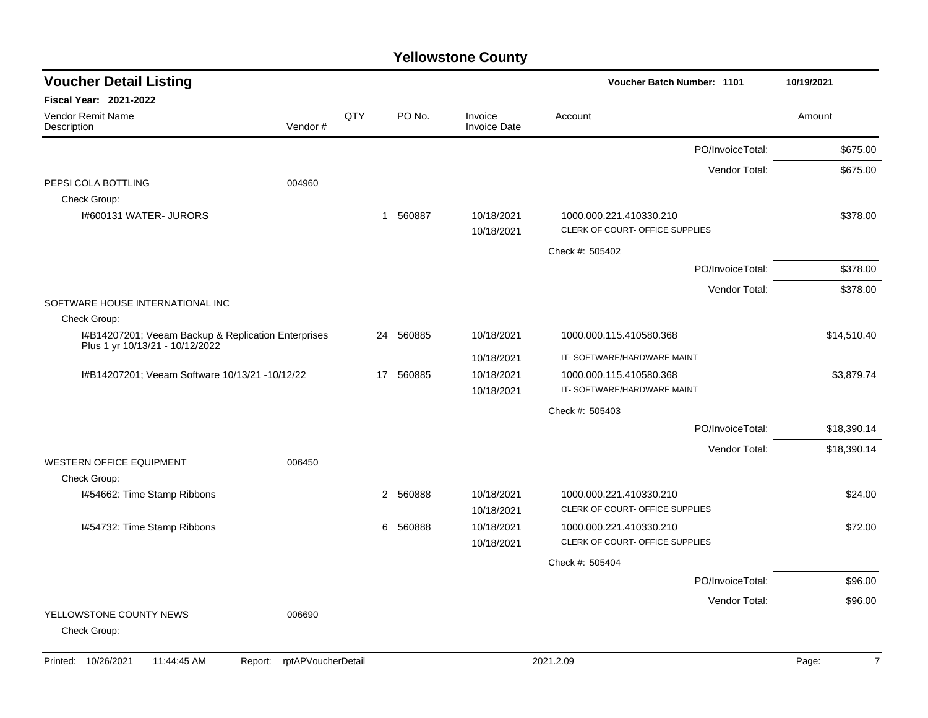| <b>Voucher Detail Listing</b>                       |         |                 |             |                                | <b>Voucher Batch Number: 1101</b>                          | 10/19/2021  |
|-----------------------------------------------------|---------|-----------------|-------------|--------------------------------|------------------------------------------------------------|-------------|
| <b>Fiscal Year: 2021-2022</b>                       |         |                 |             |                                |                                                            |             |
| Vendor Remit Name<br>Description                    | Vendor# | QTY             | PO No.      | Invoice<br><b>Invoice Date</b> | Account                                                    | Amount      |
|                                                     |         |                 |             |                                | PO/InvoiceTotal:                                           | \$675.00    |
|                                                     |         |                 |             |                                | Vendor Total:                                              | \$675.00    |
| PEPSI COLA BOTTLING                                 | 004960  |                 |             |                                |                                                            |             |
| Check Group:                                        |         |                 |             |                                |                                                            |             |
| I#600131 WATER- JURORS                              |         |                 | 1 560887    | 10/18/2021<br>10/18/2021       | 1000.000.221.410330.210<br>CLERK OF COURT- OFFICE SUPPLIES | \$378.00    |
|                                                     |         |                 |             |                                | Check #: 505402                                            |             |
|                                                     |         |                 |             |                                | PO/InvoiceTotal:                                           | \$378.00    |
|                                                     |         |                 |             |                                | Vendor Total:                                              | \$378.00    |
| SOFTWARE HOUSE INTERNATIONAL INC                    |         |                 |             |                                |                                                            |             |
| Check Group:                                        |         |                 |             |                                |                                                            |             |
| I#B14207201; Veeam Backup & Replication Enterprises |         | 24              | 560885      | 10/18/2021                     | 1000.000.115.410580.368                                    | \$14,510.40 |
| Plus 1 yr 10/13/21 - 10/12/2022                     |         |                 |             | 10/18/2021                     | IT-SOFTWARE/HARDWARE MAINT                                 |             |
| I#B14207201; Veeam Software 10/13/21 -10/12/22      |         | 17 <sup>2</sup> | 560885      | 10/18/2021                     | 1000.000.115.410580.368                                    | \$3,879.74  |
|                                                     |         |                 |             | 10/18/2021                     | IT-SOFTWARE/HARDWARE MAINT                                 |             |
|                                                     |         |                 |             |                                | Check #: 505403                                            |             |
|                                                     |         |                 |             |                                | PO/InvoiceTotal:                                           | \$18,390.14 |
|                                                     |         |                 |             |                                | Vendor Total:                                              | \$18,390.14 |
| <b>WESTERN OFFICE EQUIPMENT</b>                     | 006450  |                 |             |                                |                                                            |             |
| Check Group:                                        |         |                 |             |                                |                                                            |             |
| I#54662: Time Stamp Ribbons                         |         |                 | 560888<br>2 | 10/18/2021                     | 1000.000.221.410330.210                                    | \$24.00     |
|                                                     |         |                 |             | 10/18/2021                     | CLERK OF COURT- OFFICE SUPPLIES                            |             |
| I#54732: Time Stamp Ribbons                         |         |                 | 6<br>560888 | 10/18/2021                     | 1000.000.221.410330.210                                    | \$72.00     |
|                                                     |         |                 |             | 10/18/2021                     | CLERK OF COURT- OFFICE SUPPLIES                            |             |
|                                                     |         |                 |             |                                | Check #: 505404                                            |             |
|                                                     |         |                 |             |                                | PO/InvoiceTotal:                                           | \$96.00     |
|                                                     |         |                 |             |                                | Vendor Total:                                              | \$96.00     |
| YELLOWSTONE COUNTY NEWS<br>Check Group:             | 006690  |                 |             |                                |                                                            |             |
|                                                     |         |                 |             |                                |                                                            |             |

Printed: 10/26/2021 11:44:45 AM Report: rptAPVoucherDetail 2021.2.09 2021.2.09 Page: Page: 7